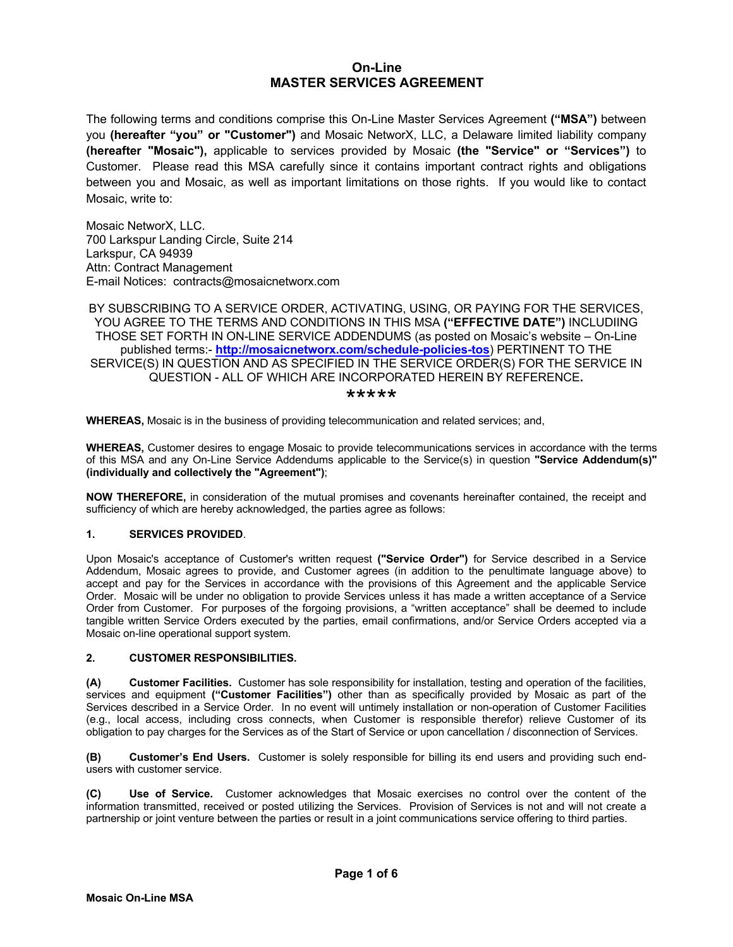# **On-Line MASTER SERVICES AGREEMENT**

The following terms and conditions comprise this On-Line Master Services Agreement **("MSA")** between you **(hereafter "you" or "Customer")** and Mosaic NetworX, LLC, a Delaware limited liability company **(hereafter "Mosaic"),** applicable to services provided by Mosaic **(the "Service" or "Services")** to Customer. Please read this MSA carefully since it contains important contract rights and obligations between you and Mosaic, as well as important limitations on those rights. If you would like to contact Mosaic, write to:

Mosaic NetworX, LLC. 700 Larkspur Landing Circle, Suite 214 Larkspur, CA 94939 Attn: Contract Management E-mail Notices: contracts@mosaicnetworx.com

BY SUBSCRIBING TO A SERVICE ORDER, ACTIVATING, USING, OR PAYING FOR THE SERVICES, YOU AGREE TO THE TERMS AND CONDITIONS IN THIS MSA **("EFFECTIVE DATE")** INCLUDIING THOSE SET FORTH IN ON-LINE SERVICE ADDENDUMS (as posted on Mosaic's website – On-Line published terms:- **http://mosaicnetworx.com/schedule-policies-tos**) PERTINENT TO THE SERVICE(S) IN QUESTION AND AS SPECIFIED IN THE SERVICE ORDER(S) FOR THE SERVICE IN QUESTION - ALL OF WHICH ARE INCORPORATED HEREIN BY REFERENCE**.**

\*\*\*\*\*

**WHEREAS,** Mosaic is in the business of providing telecommunication and related services; and,

**WHEREAS,** Customer desires to engage Mosaic to provide telecommunications services in accordance with the terms of this MSA and any On-Line Service Addendums applicable to the Service(s) in question **"Service Addendum(s)" (individually and collectively the "Agreement")**;

**NOW THEREFORE,** in consideration of the mutual promises and covenants hereinafter contained, the receipt and sufficiency of which are hereby acknowledged, the parties agree as follows:

### **1. SERVICES PROVIDED**.

Upon Mosaic's acceptance of Customer's written request **("Service Order")** for Service described in a Service Addendum, Mosaic agrees to provide, and Customer agrees (in addition to the penultimate language above) to accept and pay for the Services in accordance with the provisions of this Agreement and the applicable Service Order. Mosaic will be under no obligation to provide Services unless it has made a written acceptance of a Service Order from Customer. For purposes of the forgoing provisions, a "written acceptance" shall be deemed to include tangible written Service Orders executed by the parties, email confirmations, and/or Service Orders accepted via a Mosaic on-line operational support system.

#### **2. CUSTOMER RESPONSIBILITIES.**

**(A) Customer Facilities.** Customer has sole responsibility for installation, testing and operation of the facilities, services and equipment **("Customer Facilities")** other than as specifically provided by Mosaic as part of the Services described in a Service Order. In no event will untimely installation or non-operation of Customer Facilities (e.g., local access, including cross connects, when Customer is responsible therefor) relieve Customer of its obligation to pay charges for the Services as of the Start of Service or upon cancellation / disconnection of Services.

**(B) Customer's End Users.** Customer is solely responsible for billing its end users and providing such endusers with customer service.

**(C) Use of Service.** Customer acknowledges that Mosaic exercises no control over the content of the information transmitted, received or posted utilizing the Services. Provision of Services is not and will not create a partnership or joint venture between the parties or result in a joint communications service offering to third parties.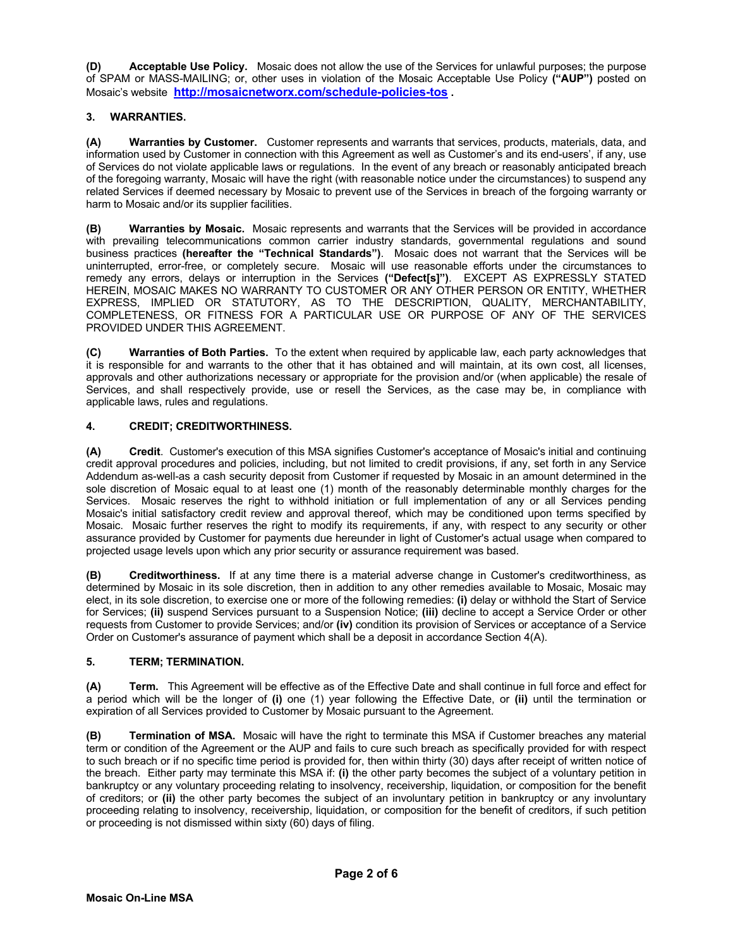**(D) Acceptable Use Policy.** Mosaic does not allow the use of the Services for unlawful purposes; the purpose of SPAM or MASS-MAILING; or, other uses in violation of the Mosaic Acceptable Use Policy **("AUP")** posted on Mosaic's website **http://mosaicnetworx.com/schedule-policies-tos .**

# **3. WARRANTIES.**

**(A) Warranties by Customer.** Customer represents and warrants that services, products, materials, data, and information used by Customer in connection with this Agreement as well as Customer's and its end-users', if any, use of Services do not violate applicable laws or regulations. In the event of any breach or reasonably anticipated breach of the foregoing warranty, Mosaic will have the right (with reasonable notice under the circumstances) to suspend any related Services if deemed necessary by Mosaic to prevent use of the Services in breach of the forgoing warranty or harm to Mosaic and/or its supplier facilities.

**(B) Warranties by Mosaic.** Mosaic represents and warrants that the Services will be provided in accordance with prevailing telecommunications common carrier industry standards, governmental regulations and sound business practices **(hereafter the "Technical Standards")**. Mosaic does not warrant that the Services will be uninterrupted, error-free, or completely secure. Mosaic will use reasonable efforts under the circumstances to remedy any errors, delays or interruption in the Services **("Defect[s]")**. EXCEPT AS EXPRESSLY STATED HEREIN, MOSAIC MAKES NO WARRANTY TO CUSTOMER OR ANY OTHER PERSON OR ENTITY, WHETHER EXPRESS, IMPLIED OR STATUTORY, AS TO THE DESCRIPTION, QUALITY, MERCHANTABILITY, COMPLETENESS, OR FITNESS FOR A PARTICULAR USE OR PURPOSE OF ANY OF THE SERVICES PROVIDED UNDER THIS AGREEMENT.

**(C) Warranties of Both Parties.** To the extent when required by applicable law, each party acknowledges that it is responsible for and warrants to the other that it has obtained and will maintain, at its own cost, all licenses, approvals and other authorizations necessary or appropriate for the provision and/or (when applicable) the resale of Services, and shall respectively provide, use or resell the Services, as the case may be, in compliance with applicable laws, rules and regulations.

# **4. CREDIT; CREDITWORTHINESS.**

**(A) Credit**. Customer's execution of this MSA signifies Customer's acceptance of Mosaic's initial and continuing credit approval procedures and policies, including, but not limited to credit provisions, if any, set forth in any Service Addendum as-well-as a cash security deposit from Customer if requested by Mosaic in an amount determined in the sole discretion of Mosaic equal to at least one (1) month of the reasonably determinable monthly charges for the Services. Mosaic reserves the right to withhold initiation or full implementation of any or all Services pending Mosaic's initial satisfactory credit review and approval thereof, which may be conditioned upon terms specified by Mosaic. Mosaic further reserves the right to modify its requirements, if any, with respect to any security or other assurance provided by Customer for payments due hereunder in light of Customer's actual usage when compared to projected usage levels upon which any prior security or assurance requirement was based.

**(B) Creditworthiness.** If at any time there is a material adverse change in Customer's creditworthiness, as determined by Mosaic in its sole discretion, then in addition to any other remedies available to Mosaic, Mosaic may elect, in its sole discretion, to exercise one or more of the following remedies: **(i)** delay or withhold the Start of Service for Services; **(ii)** suspend Services pursuant to a Suspension Notice; **(iii)** decline to accept a Service Order or other requests from Customer to provide Services; and/or **(iv)** condition its provision of Services or acceptance of a Service Order on Customer's assurance of payment which shall be a deposit in accordance Section 4(A).

# **5. TERM; TERMINATION.**

**(A) Term.** This Agreement will be effective as of the Effective Date and shall continue in full force and effect for a period which will be the longer of **(i)** one (1) year following the Effective Date, or **(ii)** until the termination or expiration of all Services provided to Customer by Mosaic pursuant to the Agreement.

**(B) Termination of MSA.** Mosaic will have the right to terminate this MSA if Customer breaches any material term or condition of the Agreement or the AUP and fails to cure such breach as specifically provided for with respect to such breach or if no specific time period is provided for, then within thirty (30) days after receipt of written notice of the breach. Either party may terminate this MSA if: **(i)** the other party becomes the subject of a voluntary petition in bankruptcy or any voluntary proceeding relating to insolvency, receivership, liquidation, or composition for the benefit of creditors; or **(ii)** the other party becomes the subject of an involuntary petition in bankruptcy or any involuntary proceeding relating to insolvency, receivership, liquidation, or composition for the benefit of creditors, if such petition or proceeding is not dismissed within sixty (60) days of filing.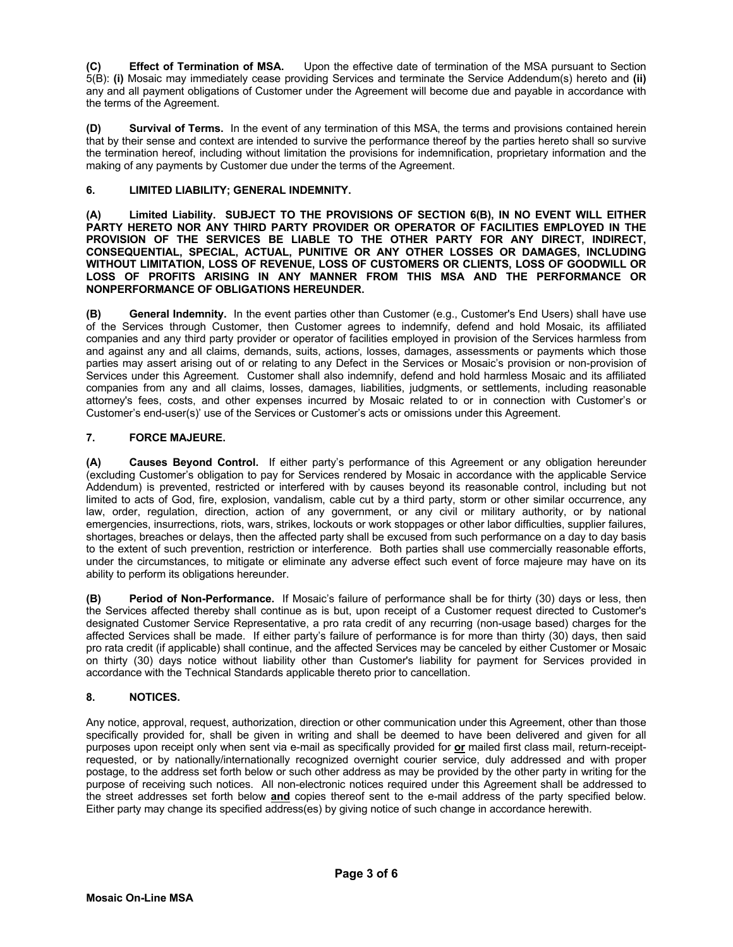**(C) Effect of Termination of MSA.** Upon the effective date of termination of the MSA pursuant to Section 5(B): **(i)** Mosaic may immediately cease providing Services and terminate the Service Addendum(s) hereto and **(ii)** any and all payment obligations of Customer under the Agreement will become due and payable in accordance with the terms of the Agreement.

**Survival of Terms.** In the event of any termination of this MSA, the terms and provisions contained herein that by their sense and context are intended to survive the performance thereof by the parties hereto shall so survive the termination hereof, including without limitation the provisions for indemnification, proprietary information and the making of any payments by Customer due under the terms of the Agreement.

# **6. LIMITED LIABILITY; GENERAL INDEMNITY.**

**(A) Limited Liability. SUBJECT TO THE PROVISIONS OF SECTION 6(B), IN NO EVENT WILL EITHER PARTY HERETO NOR ANY THIRD PARTY PROVIDER OR OPERATOR OF FACILITIES EMPLOYED IN THE PROVISION OF THE SERVICES BE LIABLE TO THE OTHER PARTY FOR ANY DIRECT, INDIRECT, CONSEQUENTIAL, SPECIAL, ACTUAL, PUNITIVE OR ANY OTHER LOSSES OR DAMAGES, INCLUDING WITHOUT LIMITATION, LOSS OF REVENUE, LOSS OF CUSTOMERS OR CLIENTS, LOSS OF GOODWILL OR LOSS OF PROFITS ARISING IN ANY MANNER FROM THIS MSA AND THE PERFORMANCE OR NONPERFORMANCE OF OBLIGATIONS HEREUNDER.**

**(B) General Indemnity.** In the event parties other than Customer (e.g., Customer's End Users) shall have use of the Services through Customer, then Customer agrees to indemnify, defend and hold Mosaic, its affiliated companies and any third party provider or operator of facilities employed in provision of the Services harmless from and against any and all claims, demands, suits, actions, losses, damages, assessments or payments which those parties may assert arising out of or relating to any Defect in the Services or Mosaic's provision or non-provision of Services under this Agreement. Customer shall also indemnify, defend and hold harmless Mosaic and its affiliated companies from any and all claims, losses, damages, liabilities, judgments, or settlements, including reasonable attorney's fees, costs, and other expenses incurred by Mosaic related to or in connection with Customer's or Customer's end-user(s)' use of the Services or Customer's acts or omissions under this Agreement.

# **7. FORCE MAJEURE.**

**(A) Causes Beyond Control.** If either party's performance of this Agreement or any obligation hereunder (excluding Customer's obligation to pay for Services rendered by Mosaic in accordance with the applicable Service Addendum) is prevented, restricted or interfered with by causes beyond its reasonable control, including but not limited to acts of God, fire, explosion, vandalism, cable cut by a third party, storm or other similar occurrence, any law, order, regulation, direction, action of any government, or any civil or military authority, or by national emergencies, insurrections, riots, wars, strikes, lockouts or work stoppages or other labor difficulties, supplier failures, shortages, breaches or delays, then the affected party shall be excused from such performance on a day to day basis to the extent of such prevention, restriction or interference. Both parties shall use commercially reasonable efforts, under the circumstances, to mitigate or eliminate any adverse effect such event of force majeure may have on its ability to perform its obligations hereunder.

**(B) Period of Non-Performance.** If Mosaic's failure of performance shall be for thirty (30) days or less, then the Services affected thereby shall continue as is but, upon receipt of a Customer request directed to Customer's designated Customer Service Representative, a pro rata credit of any recurring (non-usage based) charges for the affected Services shall be made. If either party's failure of performance is for more than thirty (30) days, then said pro rata credit (if applicable) shall continue, and the affected Services may be canceled by either Customer or Mosaic on thirty (30) days notice without liability other than Customer's liability for payment for Services provided in accordance with the Technical Standards applicable thereto prior to cancellation.

# **8. NOTICES.**

Any notice, approval, request, authorization, direction or other communication under this Agreement, other than those specifically provided for, shall be given in writing and shall be deemed to have been delivered and given for all purposes upon receipt only when sent via e-mail as specifically provided for **or** mailed first class mail, return-receiptrequested, or by nationally/internationally recognized overnight courier service, duly addressed and with proper postage, to the address set forth below or such other address as may be provided by the other party in writing for the purpose of receiving such notices. All non-electronic notices required under this Agreement shall be addressed to the street addresses set forth below **and** copies thereof sent to the e-mail address of the party specified below. Either party may change its specified address(es) by giving notice of such change in accordance herewith.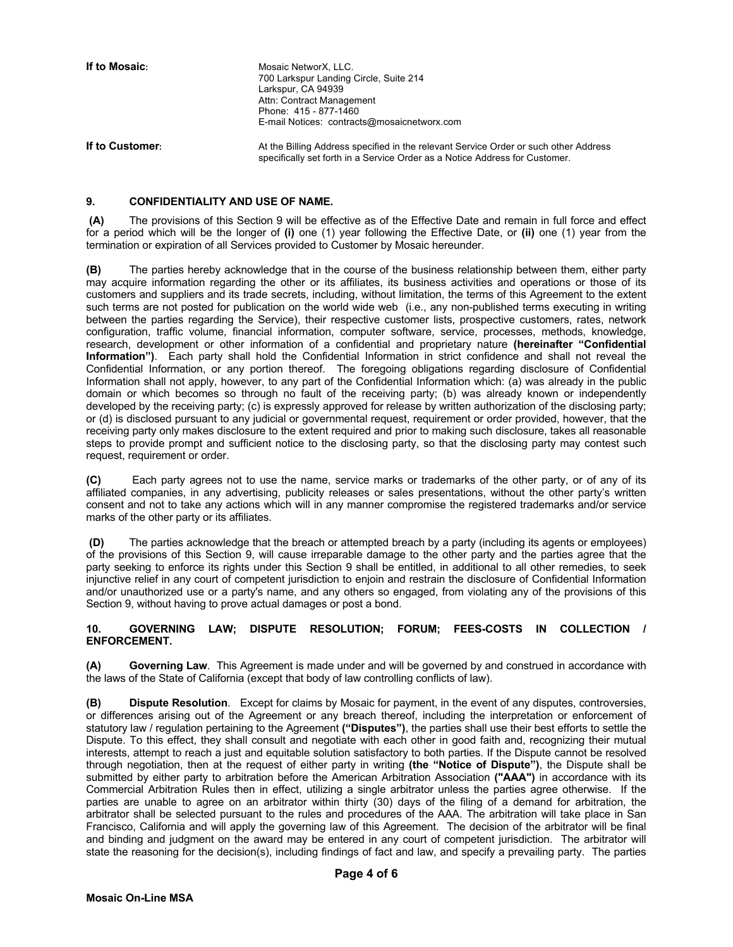**If to Mosaic:** Mosaic NetworX, LLC. 700 Larkspur Landing Circle, Suite 214 Larkspur, CA 94939 Attn: Contract Management Phone: 415 - 877-1460 E-mail Notices: contracts@mosaicnetworx.com

**If to Customer:** At the Billing Address specified in the relevant Service Order or such other Address specifically set forth in a Service Order as a Notice Address for Customer.

#### **9. CONFIDENTIALITY AND USE OF NAME.**

**(A)** The provisions of this Section 9 will be effective as of the Effective Date and remain in full force and effect for a period which will be the longer of **(i)** one (1) year following the Effective Date, or **(ii)** one (1) year from the termination or expiration of all Services provided to Customer by Mosaic hereunder.

**(B)** The parties hereby acknowledge that in the course of the business relationship between them, either party may acquire information regarding the other or its affiliates, its business activities and operations or those of its customers and suppliers and its trade secrets, including, without limitation, the terms of this Agreement to the extent such terms are not posted for publication on the world wide web (i.e., any non-published terms executing in writing between the parties regarding the Service), their respective customer lists, prospective customers, rates, network configuration, traffic volume, financial information, computer software, service, processes, methods, knowledge, research, development or other information of a confidential and proprietary nature **(hereinafter "Confidential Information")**. Each party shall hold the Confidential Information in strict confidence and shall not reveal the Confidential Information, or any portion thereof. The foregoing obligations regarding disclosure of Confidential Information shall not apply, however, to any part of the Confidential Information which: (a) was already in the public domain or which becomes so through no fault of the receiving party; (b) was already known or independently developed by the receiving party; (c) is expressly approved for release by written authorization of the disclosing party; or (d) is disclosed pursuant to any judicial or governmental request, requirement or order provided, however, that the receiving party only makes disclosure to the extent required and prior to making such disclosure, takes all reasonable steps to provide prompt and sufficient notice to the disclosing party, so that the disclosing party may contest such request, requirement or order.

**(C)** Each party agrees not to use the name, service marks or trademarks of the other party, or of any of its affiliated companies, in any advertising, publicity releases or sales presentations, without the other party's written consent and not to take any actions which will in any manner compromise the registered trademarks and/or service marks of the other party or its affiliates.

**(D)** The parties acknowledge that the breach or attempted breach by a party (including its agents or employees) of the provisions of this Section 9, will cause irreparable damage to the other party and the parties agree that the party seeking to enforce its rights under this Section 9 shall be entitled, in additional to all other remedies, to seek injunctive relief in any court of competent jurisdiction to enjoin and restrain the disclosure of Confidential Information and/or unauthorized use or a party's name, and any others so engaged, from violating any of the provisions of this Section 9, without having to prove actual damages or post a bond.

**10. GOVERNING LAW; DISPUTE RESOLUTION; FORUM; FEES-COSTS IN COLLECTION / ENFORCEMENT.**

**(A) Governing Law**. This Agreement is made under and will be governed by and construed in accordance with the laws of the State of California (except that body of law controlling conflicts of law).

**(B) Dispute Resolution**. Except for claims by Mosaic for payment, in the event of any disputes, controversies, or differences arising out of the Agreement or any breach thereof, including the interpretation or enforcement of statutory law / regulation pertaining to the Agreement **("Disputes")**, the parties shall use their best efforts to settle the Dispute. To this effect, they shall consult and negotiate with each other in good faith and, recognizing their mutual interests, attempt to reach a just and equitable solution satisfactory to both parties. If the Dispute cannot be resolved through negotiation, then at the request of either party in writing **(the "Notice of Dispute")**, the Dispute shall be submitted by either party to arbitration before the American Arbitration Association **("AAA")** in accordance with its Commercial Arbitration Rules then in effect, utilizing a single arbitrator unless the parties agree otherwise. If the parties are unable to agree on an arbitrator within thirty (30) days of the filing of a demand for arbitration, the arbitrator shall be selected pursuant to the rules and procedures of the AAA. The arbitration will take place in San Francisco, California and will apply the governing law of this Agreement. The decision of the arbitrator will be final and binding and judgment on the award may be entered in any court of competent jurisdiction. The arbitrator will state the reasoning for the decision(s), including findings of fact and law, and specify a prevailing party. The parties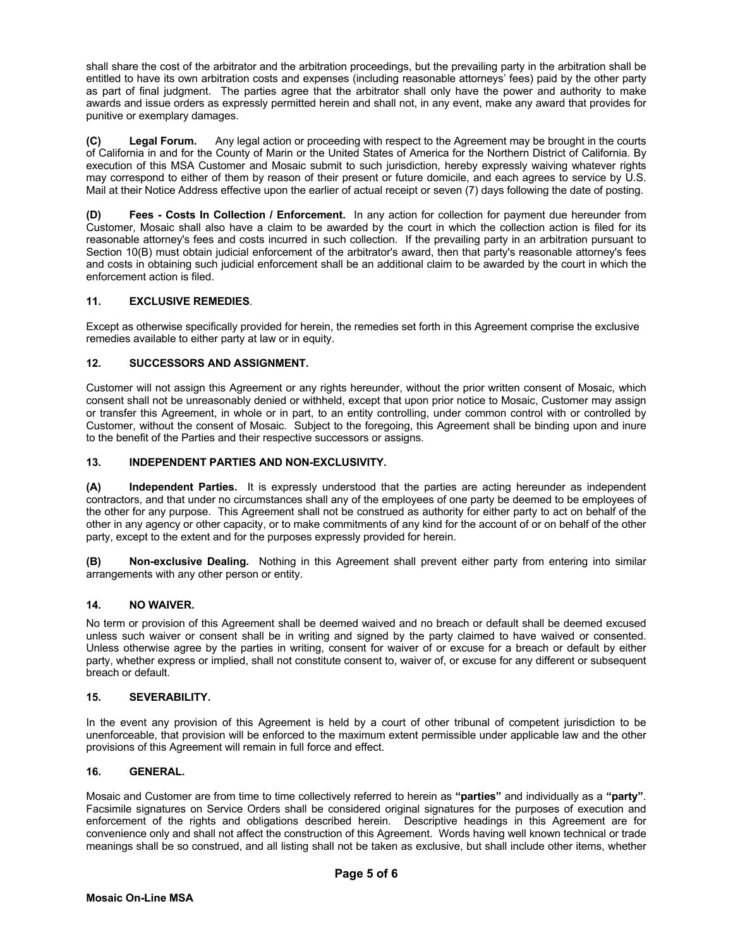shall share the cost of the arbitrator and the arbitration proceedings, but the prevailing party in the arbitration shall be entitled to have its own arbitration costs and expenses (including reasonable attorneys' fees) paid by the other party as part of final judgment. The parties agree that the arbitrator shall only have the power and authority to make awards and issue orders as expressly permitted herein and shall not, in any event, make any award that provides for punitive or exemplary damages.

**(C) Legal Forum.** Any legal action or proceeding with respect to the Agreement may be brought in the courts of California in and for the County of Marin or the United States of America for the Northern District of California. By execution of this MSA Customer and Mosaic submit to such jurisdiction, hereby expressly waiving whatever rights may correspond to either of them by reason of their present or future domicile, and each agrees to service by U.S. Mail at their Notice Address effective upon the earlier of actual receipt or seven (7) days following the date of posting.

**(D) Fees - Costs In Collection / Enforcement.** In any action for collection for payment due hereunder from Customer, Mosaic shall also have a claim to be awarded by the court in which the collection action is filed for its reasonable attorney's fees and costs incurred in such collection. If the prevailing party in an arbitration pursuant to Section 10(B) must obtain judicial enforcement of the arbitrator's award, then that party's reasonable attorney's fees and costs in obtaining such judicial enforcement shall be an additional claim to be awarded by the court in which the enforcement action is filed.

## **11. EXCLUSIVE REMEDIES**.

Except as otherwise specifically provided for herein, the remedies set forth in this Agreement comprise the exclusive remedies available to either party at law or in equity.

## **12. SUCCESSORS AND ASSIGNMENT.**

Customer will not assign this Agreement or any rights hereunder, without the prior written consent of Mosaic, which consent shall not be unreasonably denied or withheld, except that upon prior notice to Mosaic, Customer may assign or transfer this Agreement, in whole or in part, to an entity controlling, under common control with or controlled by Customer, without the consent of Mosaic. Subject to the foregoing, this Agreement shall be binding upon and inure to the benefit of the Parties and their respective successors or assigns.

## **13. INDEPENDENT PARTIES AND NON-EXCLUSIVITY.**

**(A) Independent Parties.** It is expressly understood that the parties are acting hereunder as independent contractors, and that under no circumstances shall any of the employees of one party be deemed to be employees of the other for any purpose. This Agreement shall not be construed as authority for either party to act on behalf of the other in any agency or other capacity, or to make commitments of any kind for the account of or on behalf of the other party, except to the extent and for the purposes expressly provided for herein.

**(B) Non-exclusive Dealing.** Nothing in this Agreement shall prevent either party from entering into similar arrangements with any other person or entity.

# **14. NO WAIVER.**

No term or provision of this Agreement shall be deemed waived and no breach or default shall be deemed excused unless such waiver or consent shall be in writing and signed by the party claimed to have waived or consented. Unless otherwise agree by the parties in writing, consent for waiver of or excuse for a breach or default by either party, whether express or implied, shall not constitute consent to, waiver of, or excuse for any different or subsequent breach or default.

### **15. SEVERABILITY.**

In the event any provision of this Agreement is held by a court of other tribunal of competent jurisdiction to be unenforceable, that provision will be enforced to the maximum extent permissible under applicable law and the other provisions of this Agreement will remain in full force and effect.

#### **16. GENERAL.**

Mosaic and Customer are from time to time collectively referred to herein as **"parties"** and individually as a **"party"**. Facsimile signatures on Service Orders shall be considered original signatures for the purposes of execution and enforcement of the rights and obligations described herein. Descriptive headings in this Agreement are for convenience only and shall not affect the construction of this Agreement. Words having well known technical or trade meanings shall be so construed, and all listing shall not be taken as exclusive, but shall include other items, whether